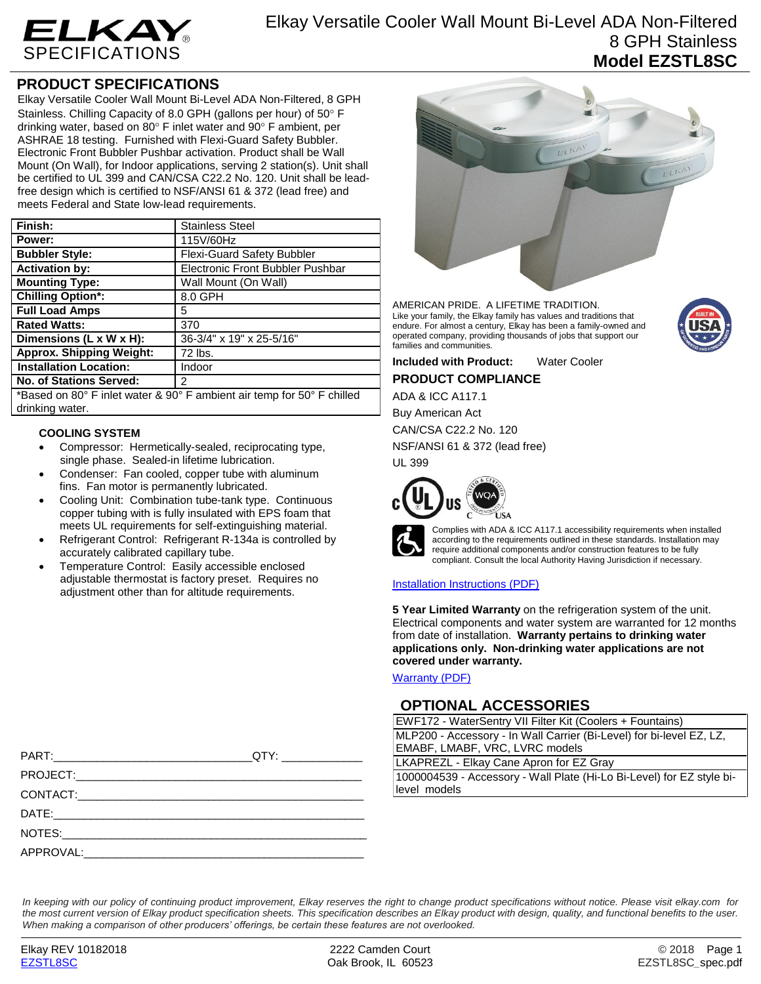

# **PRODUCT SPECIFICATIONS**

Elkay Versatile Cooler Wall Mount Bi-Level ADA Non-Filtered, 8 GPH Stainless. Chilling Capacity of 8.0 GPH (gallons per hour) of 50° F drinking water, based on 80 $\degree$  F inlet water and 90 $\degree$  F ambient, per ASHRAE 18 testing. Furnished with Flexi-Guard Safety Bubbler. Electronic Front Bubbler Pushbar activation. Product shall be Wall Mount (On Wall), for Indoor applications, serving 2 station(s). Unit shall be certified to UL 399 and CAN/CSA C22.2 No. 120. Unit shall be leadfree design which is certified to NSF/ANSI 61 & 372 (lead free) and meets Federal and State low-lead requirements.

| Finish:                                   | <b>Stainless Steel</b>            |
|-------------------------------------------|-----------------------------------|
| Power:                                    | 115V/60Hz                         |
| <b>Bubbler Style:</b>                     | <b>Flexi-Guard Safety Bubbler</b> |
| <b>Activation by:</b>                     | Electronic Front Bubbler Pushbar  |
| <b>Mounting Type:</b>                     | Wall Mount (On Wall)              |
| <b>Chilling Option*:</b>                  | 8.0 GPH                           |
| <b>Full Load Amps</b>                     | 5                                 |
| <b>Rated Watts:</b>                       | 370                               |
| Dimensions (L x W x H):                   | 36-3/4" x 19" x 25-5/16"          |
| <b>Approx. Shipping Weight:</b>           | 72 lbs.                           |
| <b>Installation Location:</b>             | Indoor                            |
| No. of Stations Served:                   | $\mathcal{P}$                     |
| $\sim$ $\sim$ $\sim$ $\sim$ $\sim$ $\sim$ |                                   |

\*Based on 80° F inlet water & 90° F ambient air temp for 50° F chilled drinking water.

### **COOLING SYSTEM**

- Compressor: Hermetically-sealed, reciprocating type, single phase. Sealed-in lifetime lubrication.
- Condenser: Fan cooled, copper tube with aluminum fins. Fan motor is permanently lubricated.
- Cooling Unit: Combination tube-tank type. Continuous copper tubing with is fully insulated with EPS foam that meets UL requirements for self-extinguishing material.
- Refrigerant Control: Refrigerant R-134a is controlled by accurately calibrated capillary tube.
- Temperature Control: Easily accessible enclosed adjustable thermostat is factory preset. Requires no adjustment other than for altitude requirements.

| APPROVAL: |  |
|-----------|--|



AMERICAN PRIDE. A LIFETIME TRADITION. Like your family, the Elkay family has values and traditions that endure. For almost a century, Elkay has been a family-owned and operated company, providing thousands of jobs that support our families and communities.

**Included with Product:** Water Cooler **PRODUCT COMPLIANCE**

ADA & ICC A117.1

Buy American Act

CAN/CSA C22.2 No. 120 NSF/ANSI 61 & 372 (lead free)

UL 399



Complies with ADA & ICC A117.1 accessibility requirements when installed according to the requirements outlined in these standards. Installation may require additional components and/or construction features to be fully compliant. Consult the local Authority Having Jurisdiction if necessary.

### [Installation Instructions \(PDF\)](http://www.elkay.com/wcsstore/lkdocs/care-cleaning-install-warranty-sheets/1000003116.pdf)

**5 Year Limited Warranty** on the refrigeration system of the unit. Electrical components and water system are warranted for 12 months from date of installation. **Warranty pertains to drinking water applications only. Non-drinking water applications are not covered under warranty.**

[Warranty](http://www.elkay.com/wcsstore/lkdocs/care-cleaning-install-warranty-sheets/96993c.pdf) (PDF)

## **OPTIONAL ACCESSORIES**

EWF172 - WaterSentry VII Filter Kit (Coolers + Fountains) MLP200 - Accessory - In Wall Carrier (Bi-Level) for bi-level EZ, LZ, EMABF, LMABF, VRC, LVRC models

LKAPREZL - Elkay Cane Apron for EZ Gray

1000004539 - Accessory - Wall Plate (Hi-Lo Bi-Level) for EZ style bilevel models

*In keeping with our policy of continuing product improvement, Elkay reserves the right to change product specifications without notice. Please visit elkay.com for the most current version of Elkay product specification sheets. This specification describes an Elkay product with design, quality, and functional benefits to the user. When making a comparison of other producers' offerings, be certain these features are not overlooked.*